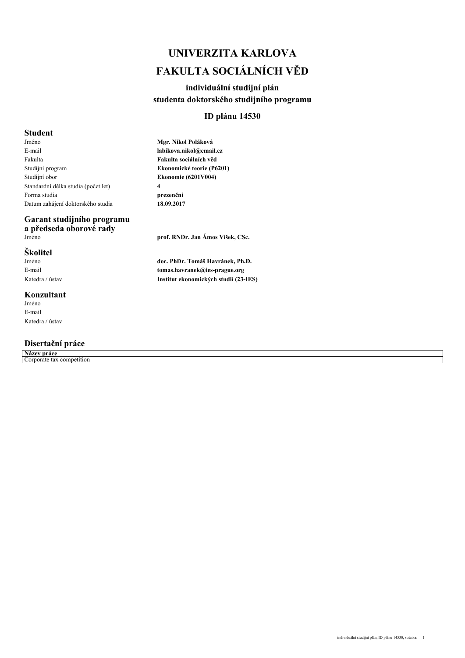# *UNIVERZITA KARLOVA FAKULTA SOCIÁLNÍCH VĚD*

### *individuální studijní plán studenta doktorského studijního programu*

### *ID plánu 14530*

### *Student*

*Jméno E-mail Fakulta Studijní program Studijní obor Standardní délka studia (počet let) Forma studia Datum zahájení doktorského studia*

## *Garant studijního programu a předseda oborové rady*

### *Školitel*

*Jméno E-mail Katedra / ústav*

### *Konzultant*

*Jméno E-mail Katedra / ústav*

### *Disertační práce*

*Název práce Corporate tax competition*

*Mgr. Nikol Poláková labikova.nikol@email.cz Fakulta sociálních věd Ekonomické teorie (P6201) Ekonomie (6201V004) 4 prezenční 18.09.2017*

*Jméno prof. RNDr. Jan Ámos Víšek, CSc.*

*doc. PhDr. Tomáš Havránek, Ph.D. tomas.havranek@ies-prague.org Institut ekonomických studií (23-IES)*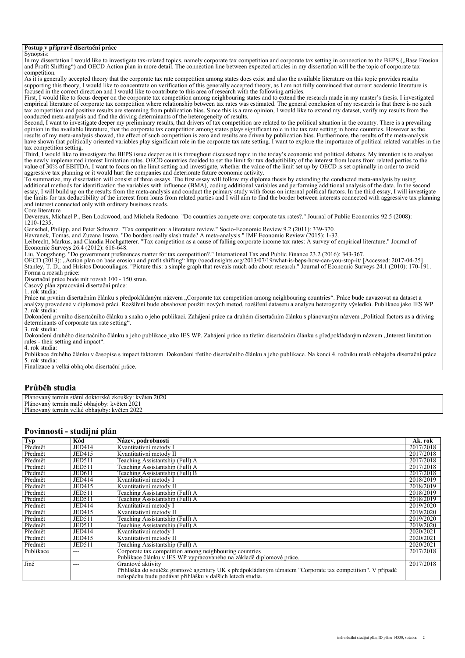#### *Postup v přípravě disertační práce*

*Synopsis:* In my dissertation I would like to investigate tax-related topics, namely corporate tax competition and corporate tax setting in connection to the BEPS ("Base Erosion *and Profit Shifting") and OECD Action plan in more detail. The connection line between expected articles in my dissertation will be the topic of corporate tax competition. As it is generally accepted theory that the corporate tax rate competition among states does exist and also the available literature on this topic provides results supporting this theory, I would like to concentrate on verification of this generally accepted theory, as I am not fully convinced that current academic literature is focused in the correct direction and I would like to contribute to this area of research with the following articles. First, I would like to focus deeper on the corporate tax competition among neighbouring states and to extend the research made in my master's thesis. I investigated empirical literature of corporate tax competition where relationship between tax rates was estimated. The general conclusion of my research is that there is no such tax competition and positive results are stemming from publication bias. Since this is a rare opinion, I would like to extend my dataset, verify my results from the conducted meta-analysis and find the driving determinants of the heterogeneity of results. Second, I want to investigate deeper my preliminary results, that drivers of tax competition are related to the political situation in the country. There is a prevailing opinion in the available literature, that the corporate tax competition among states plays significant role in the tax rate setting in home countries. However as the* results of my meta-analysis showed, the effect of such competition is zero and results are driven by publication bias. Furthermore, the results of the meta-analysis<br>have shown that politically oriented variables play signi *tax competition setting. Third, I would like to investigate the BEPS issue deeper as it is throughout discussed topic in the today's economic and political debates. My intention is to analyse the newly implemented interest limitation rules. OECD countries decided to set the limit for tax deductibility of the interest from loans from related parties to the value of 30% of EBITDA. I want to focus on the limit setting and investigate, whether the value of the limit set up by OECD is set optimally in order to avoid aggressive tax planning or it would hurt the companies and deteriorate future economic activity. To summarize, my dissertation will consist of three essays. The first essay will follow my diploma thesis by extending the conducted meta-analysis by using additional methods for identification the variables with influence (BMA), coding additional variables and performing additional analysis of the data. In the second essay, I will build up on the results from the meta-analysis and conduct the primary study with focus on internal political factors. In the third essay, I will investigate the limits for tax deductibility of the interest from loans from related parties and I will aim to find the border between interests connected with aggressive tax planning and interest connected only with ordinary business needs. Core literature Devereux, Michael P., Ben Lockwood, and Michela Redoano. "Do countries compete over corporate tax rates?." Journal of Public Economics 92.5 (2008): 1210-1235. Genschel, Philipp, and Peter Schwarz. "Tax competition: a literature review." Socio-Economic Review 9.2 (2011): 339-370. Havranek, Tomas, and Zuzana Irsova. "Do borders really slash trade? A meta-analysis." IMF Economic Review (2015): 1-32. Leibrecht, Markus, and Claudia Hochgatterer. "Tax competition as a cause of falling corporate income tax rates: A survey of empirical literature." Journal of Economic Surveys 26.4 (2012): 616-648. Liu, Yongzheng. "Do government preferences matter for tax competition?." International Tax and Public Finance 23.2 (2016): 343-367. OECD (2013): "Action plan on base erosion and profit shifting" http://oecdinsights.org/2013/07/19/what-is-beps-how-can-you-stop-it/ [Accessed: 2017-04-25] Stanley, T. D., and Hristos Doucouliagos. "Picture this: a simple graph that reveals much ado about research." Journal of Economic Surveys 24.1 (2010): 170-191. Forma a rozsah práce: Disertační práce bude mít rozsah 100 - 150 stran. Časový plán zpracování disertační práce: 1. rok studia: Práce na prvním disertačním článku s předpokládaným názvem "Corporate tax competition among neighbouring countries". Práce bude navazovat na dataset a analýzy provedené v diplomové práci. Rozšíření bude obsahovat použití nových metod, rozšíření datasetu a analýzu heterogenity výsledků. Publikace jako IES WP. 2. rok studia: Dokončení prvního disertačního článku a snaha o jeho publikaci. Zahájení práce na druhém disertačním článku s plánovaným názvem "Political factors as a driving determinants of corporate tax rate setting". 3. rok studia: Dokončení druhého disertačního článku a jeho publikace jako IES WP. Zahájení práce na třetím disertačním článku s předpokládaným názvem "Interest limitation rules - their setting and impact". 4. rok studia: Publikace druhého článku v časopise s impact faktorem. Dokončení třetího disertačního článku a jeho publikace. Na konci 4. ročníku malá obhajoba disertační práce 5. rok studia: Finalizace a velká obhajoba disertační práce. Průběh studia*

| Plán.<br>.2020<br>kveten<br>∠kousky<br>ำvanv.<br>i doktorske<br>statn<br>mın   |  |
|--------------------------------------------------------------------------------|--|
| Pláno<br>202<br>obhaioby:<br>kveten<br>novany w<br>male<br>$+ \alpha r$<br>mın |  |
| Plánovaný<br>202<br>květen<br>termin.<br>obhaioby:<br>متلامته<br>* ∠U∠⊥        |  |
|                                                                                |  |

#### *Povinnosti - studijní plán*

| Typ       | Kód           | Název, podrobnosti                                                                                        | Ak. rok   |
|-----------|---------------|-----------------------------------------------------------------------------------------------------------|-----------|
| Předmět   | JED414        | Kvantitativní metody I                                                                                    | 2017/2018 |
| Předmět   | JED415        | Kvantitativní metody II                                                                                   | 2017/2018 |
| Předmět   | <b>JED511</b> | Teaching Assistantship (Full) A                                                                           | 2017/2018 |
| Předmět   | <b>JED511</b> | Teaching Assistantship (Full) A                                                                           | 2017/2018 |
| Předmět   | <b>JED611</b> | Teaching Assistantship (Full) B                                                                           | 2017/2018 |
| Předmět   | JED414        | Kvantitativní metody I                                                                                    | 2018/2019 |
| Předmět   | <b>JED415</b> | Kvantitativní metody II                                                                                   | 2018/2019 |
| Předmět   | <b>JED511</b> | Teaching Assistantship (Full) A                                                                           | 2018/2019 |
| Předmět   | <b>JED511</b> | Teaching Assistantship (Full) A                                                                           | 2018/2019 |
| Předmět   | JED414        | Kvantitativní metody I                                                                                    | 2019/2020 |
| Předmět   | <b>JED415</b> | Kvantitativní metody II                                                                                   | 2019/2020 |
| Předmět   | <b>JED511</b> | Teaching Assistantship (Full) A                                                                           | 2019/2020 |
| Předmět   | <b>JED511</b> | Teaching Assistantship (Full) A                                                                           | 2019/2020 |
| Předmět   | JED414        | Kvantitativní metody I                                                                                    | 2020/2021 |
| Předmět   | JED415        | Kvantitativní metody II                                                                                   | 2020/2021 |
| Předmět   | <b>JED511</b> | Teaching Assistantship (Full) A                                                                           | 2020/2021 |
| Publikace | $---$         | Corporate tax competition among neighbouring countries                                                    | 2017/2018 |
|           |               | Publikace článku v IES WP vypracovaného na základě diplomové práce.                                       |           |
| Jiné      | ---           | Grantové aktivity                                                                                         | 2017/2018 |
|           |               | Přihláška do soutěže grantové agentury UK s předpokládaným tématem "Corporate tax competition". V případě |           |
|           |               | neúspěchu budu podávat přihlášku v dalších letech studia.                                                 |           |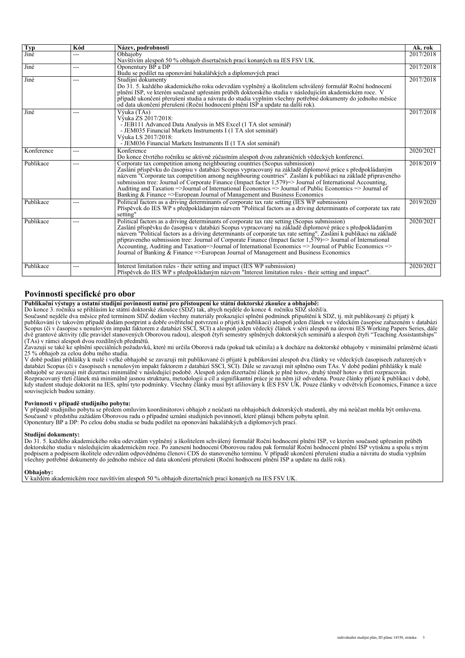| Typ        | Kód | Název, podrobnosti                                                                                                                        | Ak. rok   |
|------------|-----|-------------------------------------------------------------------------------------------------------------------------------------------|-----------|
| Jiné       | --- | Obhajoby                                                                                                                                  | 2017/2018 |
|            |     | Navštívím alespoň 50 % obhajob disertačních prací konaných na IES FSV UK.                                                                 |           |
| Jiné       | --- | Oponentury BP a DP                                                                                                                        | 2017/2018 |
|            |     | Budu se podílet na oponování bakalářských a diplomových prací                                                                             |           |
| Jiné       | --- | Studijní dokumenty                                                                                                                        | 2017/2018 |
|            |     | Do 31. 5. každého akademického roku odevzdám vyplněný a školitelem schválený formulář Roční hodnocení                                     |           |
|            |     | plnění ISP, ve kterém současně upřesním průběh doktorského studia v následujícím akademickém roce. V                                      |           |
|            |     | případě ukončení přerušení studia a návratu do studia vyplním všechny potřebné dokumenty do jednoho měsíce                                |           |
|            |     | od data ukončení přerušení (Roční hodnocení plnění ISP a update na další rok).                                                            |           |
| Jiné       | --- | Výuka (TAs)                                                                                                                               | 2017/2018 |
|            |     | Výuka ZS 2017/2018:                                                                                                                       |           |
|            |     | - JEB111 Advanced Data Analysis in MS Excel (1 TA slot seminář)                                                                           |           |
|            |     | - JEM035 Financial Markets Instruments I (1 TA slot seminář)                                                                              |           |
|            |     | Výuka LS 2017/2018:<br>- JEM036 Financial Markets Instruments II (1 TA slot seminář)                                                      |           |
|            |     | Konference                                                                                                                                | 2020/2021 |
| Konference | --- | Do konce čtvrtého ročníku se aktivně zúčastním alespoň dvou zahraničních vědeckých konferencí.                                            |           |
| Publikace  | --- | Corporate tax competition among neighbouring countries (Scopus submission)                                                                | 2018/2019 |
|            |     | Zaslání příspěvku do časopisu v databázi Scopus vypracovaný na základě diplomové práce s předpokládaným                                   |           |
|            |     | názvem "Corporate tax competition among neighbouring countries". Zaslání k publikaci na základě připraveného                              |           |
|            |     | submission tree: Journal of Corporate Finance (Impact factor 1,579)=> Journal of International Accounting,                                |           |
|            |     | Auditing and Taxation $\Rightarrow$ Journal of International Economics $\Rightarrow$ Journal of Public Economics $\Rightarrow$ Journal of |           |
|            |     | Banking & Finance =>European Journal of Management and Business Economics                                                                 |           |
| Publikace  | --- | Political factors as a driving determinants of corporate tax rate setting (IES WP submission)                                             | 2019/2020 |
|            |     | Příspěvek do IES WP s předpokládaným názvem "Political factors as a driving determinants of corporate tax rate                            |           |
|            |     | setting"                                                                                                                                  |           |
| Publikace  | --- | Political factors as a driving determinants of corporate tax rate setting (Scopus submission)                                             | 2020/2021 |
|            |     | Zaslání příspěvku do časopisu v databázi Scopus vypracovaný na základě diplomové práce s předpokládaným                                   |           |
|            |     | názvem "Political factors as a driving determinants of corporate tax rate setting". Zaslání k publikaci na základě                        |           |
|            |     | pripraveného submission tree: Journal of Corporate Finance (Impact factor $1,579$ ) => Journal of International                           |           |
|            |     | Accounting, Auditing and Taxation=>Journal of International Economics => Journal of Public Economics =>                                   |           |
|            |     | Journal of Banking $\&$ Finance =>European Journal of Management and Business Economics                                                   |           |
|            |     |                                                                                                                                           |           |
| Publikace  | --- | Interest limitation rules - their setting and impact (IES WP submission)                                                                  | 2020/2021 |
|            |     | Příspěvek do IES WP s předpokládaným názvem "Interest limitation rules - their setting and impact".                                       |           |

#### *Povinnosti specifické pro obor*

*Publikační výstupy a ostatní studijní povinnosti nutné pro přistoupení ke státní doktorské zkoušce a obhajobě:* 

*Do konce 3. ročníku se přihlásím ke státní doktorské zkoušce (SDZ) tak, abych nejdéle do konce 4. ročníku SDZ složil/a.*

*Současně nejdéle dva měsíce před termínem SDZ dodám všechny materiály prokazující splnění podmínek připuštění k SDZ, tj. mít publikovaný či přijatý k publikování (v takovém případě dodám postprint a dobře ověřitelné potvrzení o přijetí k publikaci) alespoň jeden článek ve vědeckém časopise zařazeném v databázi Scopus (či v časopise s nenulovým impakt faktorem z databází SSCI, SCI) a alespoň jeden vědecký článek v sérii alespoň na úrovni IES Working Papers Series, dále dvě grantové aktivity (dle pravidel stanovených Oborovou radou), alespoň čtyři semestry splněných doktorských seminářů a alespoň čtyři "Teaching Assistantships" (TAs) v rámci alespoň dvou rozdílných předmětů.*

*Zavazuji se také ke splnění speciálních požadavků, které mi určila Oborová rada (pokud tak učinila) a k docháze na doktorské obhajoby v minimální průměrné účasti 25 % obhajob za celou dobu mého studia.*

*V době podání přihlášky k malé i velké obhajobě se zavazuji mít publikované či přijaté k publikování alespoň dva články ve vědeckých časopisech zařazených v databázi Scopus (či v časopisech s nenulovým impakt faktorem z databází SSCI, SCI). Dále se zavazuji mít splněno osm TAs. V době podání přihlášky k malé obhajobě se zavazuji mít dizertaci minimálně v následující podobě. Alespoň jeden dizertační článek je plně hotov, druhý téměř hotov a třetí rozpracován. Rozpracovaný třetí článek má minimálně jasnou strukturu, metodologii a cíl a signifikantní práce je na něm již odvedena. Pouze články přijaté k publikaci v době, kdy student studuje doktorát na IES, splní tyto podmínky. Všechny články musí být afiliovány k IES FSV UK. Pouze články v odvětvích Economics, Finance a úzce souvisejících budou uznány.*

#### *Povinnosti v případě studijního pobytu:*

*V případě studijního pobytu se předem omluvím koordinátorovi obhajob z neúčasti na obhajobách doktorských studentů, aby má neúčast mohla být omluvena. Současně v předstihu zažádám Oborovou radu o případné uznání studijních povinností, které plánuji během pobytu splnit. Oponentury BP a DP: Po celou dobu studia se budu podílet na oponování bakalářských a diplomových prací.*

#### *Studijní dokumenty:*

*Do 31. 5. každého akademického roku odevzdám vyplněný a školitelem schválený formulář Roční hodnocení plnění ISP, ve kterém současně upřesním průběh doktorského studia v následujícím akademickém roce. Po zanesení hodnocení Oborovou radou pak formulář Roční hodnocení plnění ISP vytisknu a spolu s mým podpisem a podpisem školitele odevzdám odpovědnému členovi CDS do stanoveného termínu. V případě ukončení přerušení studia a návratu do studia vyplním všechny potřebné dokumenty do jednoho měsíce od data ukončení přerušení (Roční hodnocení plnění ISP a update na další rok).*

#### *Obhajoby:*

*V každém akademickém roce navštívím alespoň 50 % obhajob dizertačních prací konaných na IES FSV UK.*